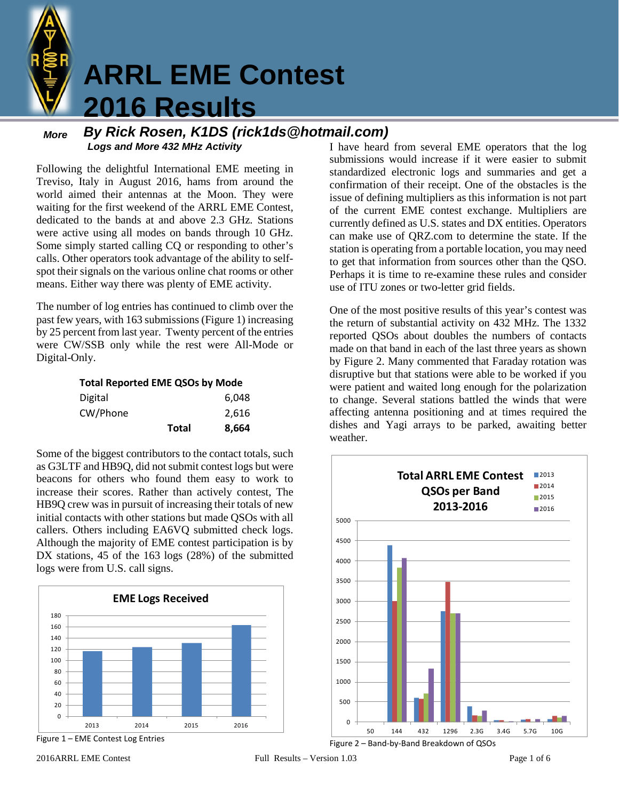

# **ARRL EME Contest 2016 Results**

#### *More Logs and More 432 MHz Activity By Rick Rosen, K1DS (rick1ds@hotmail.com)*

Following the delightful International EME meeting in Treviso, Italy in August 2016, hams from around the world aimed their antennas at the Moon. They were waiting for the first weekend of the ARRL EME Contest, dedicated to the bands at and above 2.3 GHz. Stations were active using all modes on bands through 10 GHz. Some simply started calling CQ or responding to other's calls. Other operators took advantage of the ability to selfspot their signals on the various online chat rooms or other means. Either way there was plenty of EME activity.

The number of log entries has continued to climb over the past few years, with 163 submissions (Figure 1) increasing by 25 percent from last year. Twenty percent of the entries were CW/SSB only while the rest were All-Mode or Digital-Only.

**Total Reported EME QSOs by Mode**

|          | <b>Total</b> | 8,664 |
|----------|--------------|-------|
| CW/Phone |              | 2,616 |
| Digital  |              | 6,048 |

Some of the biggest contributors to the contact totals, such as G3LTF and HB9Q, did not submit contest logs but were beacons for others who found them easy to work to increase their scores. Rather than actively contest, The HB9Q crew was in pursuit of increasing their totals of new initial contacts with other stations but made QSOs with all callers. Others including EA6VQ submitted check logs. Although the majority of EME contest participation is by DX stations, 45 of the 163 logs (28%) of the submitted logs were from U.S. call signs.



Figure 1 – EME Contest Log Entries

I have heard from several EME operators that the log submissions would increase if it were easier to submit standardized electronic logs and summaries and get a confirmation of their receipt. One of the obstacles is the issue of defining multipliers as this information is not part of the current EME contest exchange. Multipliers are currently defined as U.S. states and DX entities. Operators can make use of QRZ.com to determine the state. If the station is operating from a portable location, you may need to get that information from sources other than the QSO. Perhaps it is time to re-examine these rules and consider use of ITU zones or two-letter grid fields.

One of the most positive results of this year's contest was the return of substantial activity on 432 MHz. The 1332 reported QSOs about doubles the numbers of contacts made on that band in each of the last three years as shown by Figure 2. Many commented that Faraday rotation was disruptive but that stations were able to be worked if you were patient and waited long enough for the polarization to change. Several stations battled the winds that were affecting antenna positioning and at times required the dishes and Yagi arrays to be parked, awaiting better weather.



Figure 2 – Band-by-Band Breakdown of QSOs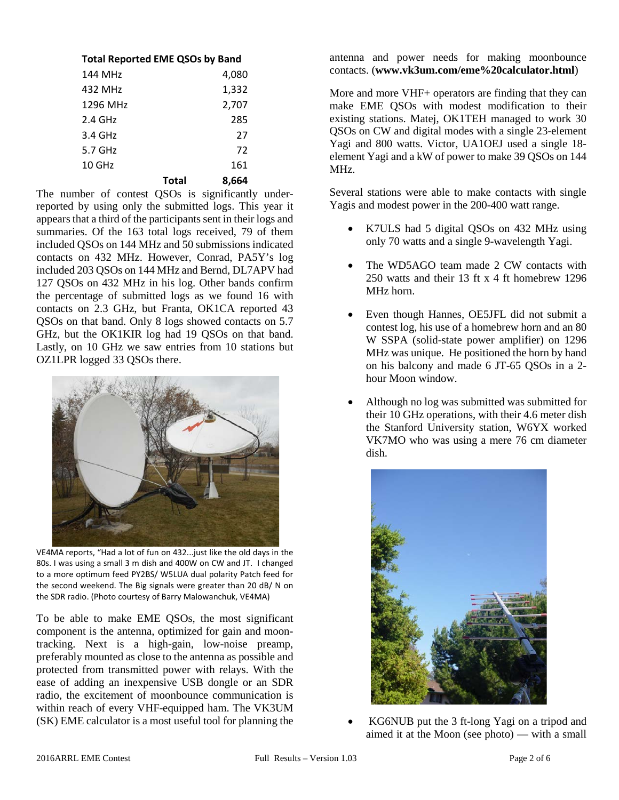| <b>Total Reported EME QSOs by Band</b> |       |       |  |
|----------------------------------------|-------|-------|--|
| 144 MH <sub>7</sub>                    |       | 4,080 |  |
| 432 MH <sub>7</sub>                    |       | 1,332 |  |
| 1296 MH <sub>7</sub>                   |       | 2,707 |  |
| $2.4$ GHz                              |       | 285   |  |
| 3.4 GHz                                |       | 27    |  |
| $5.7$ GHz                              |       | 72    |  |
| $10$ GHz                               |       | 161   |  |
|                                        | Total | 8.664 |  |

The number of contest QSOs is significantly underreported by using only the submitted logs. This year it appears that a third of the participants sent in their logs and summaries. Of the 163 total logs received, 79 of them included QSOs on 144 MHz and 50 submissions indicated contacts on 432 MHz. However, Conrad, PA5Y's log included 203 QSOs on 144 MHz and Bernd, DL7APV had 127 QSOs on 432 MHz in his log. Other bands confirm the percentage of submitted logs as we found 16 with contacts on 2.3 GHz, but Franta, OK1CA reported 43 QSOs on that band. Only 8 logs showed contacts on 5.7 GHz, but the OK1KIR log had 19 QSOs on that band. Lastly, on 10 GHz we saw entries from 10 stations but OZ1LPR logged 33 QSOs there.



VE4MA reports, "Had a lot of fun on 432...just like the old days in the 80s. I was using a small 3 m dish and 400W on CW and JT. I changed to a more optimum feed PY2BS/ W5LUA dual polarity Patch feed for the second weekend. The Big signals were greater than 20 dB/ N on the SDR radio. (Photo courtesy of Barry Malowanchuk, VE4MA)

To be able to make EME QSOs, the most significant component is the antenna, optimized for gain and moontracking. Next is a high-gain, low-noise preamp, preferably mounted as close to the antenna as possible and protected from transmitted power with relays. With the ease of adding an inexpensive USB dongle or an SDR radio, the excitement of moonbounce communication is within reach of every VHF-equipped ham. The VK3UM (SK) EME calculator is a most useful tool for planning the

antenna and power needs for making moonbounce contacts. (**www.vk3um.com/eme%20calculator.html**)

More and more VHF+ operators are finding that they can make EME QSOs with modest modification to their existing stations. Matej, OK1TEH managed to work 30 QSOs on CW and digital modes with a single 23-element Yagi and 800 watts. Victor, UA1OEJ used a single 18 element Yagi and a kW of power to make 39 QSOs on 144 MHz.

Several stations were able to make contacts with single Yagis and modest power in the 200-400 watt range.

- K7ULS had 5 digital QSOs on 432 MHz using only 70 watts and a single 9-wavelength Yagi.
- The WD5AGO team made 2 CW contacts with 250 watts and their 13 ft x 4 ft homebrew 1296 MHz horn.
- Even though Hannes, OE5JFL did not submit a contest log, his use of a homebrew horn and an 80 W SSPA (solid-state power amplifier) on 1296 MHz was unique. He positioned the horn by hand on his balcony and made 6 JT-65 QSOs in a 2 hour Moon window.
- Although no log was submitted was submitted for their 10 GHz operations, with their 4.6 meter dish the Stanford University station, W6YX worked VK7MO who was using a mere 76 cm diameter dish.



• KG6NUB put the 3 ft-long Yagi on a tripod and aimed it at the Moon (see photo) — with a small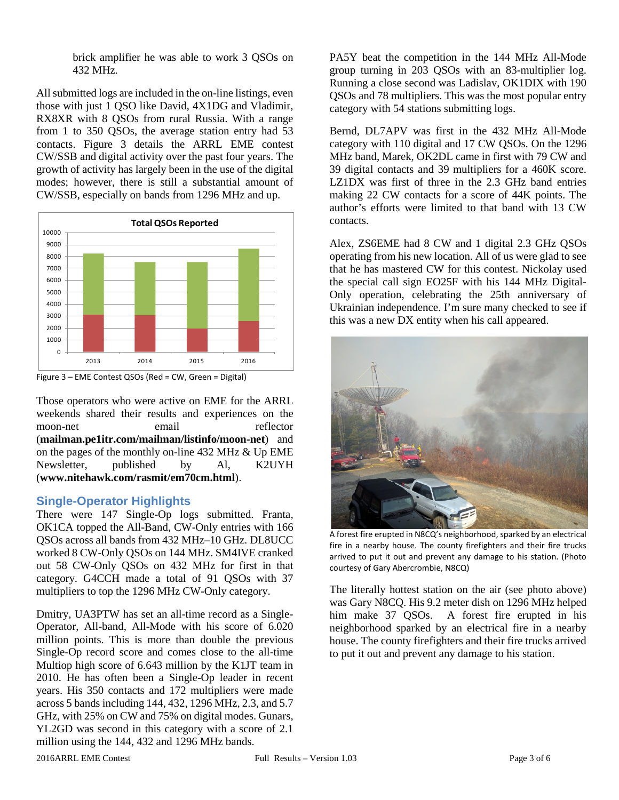brick amplifier he was able to work 3 QSOs on 432 MHz.

All submitted logs are included in the on-line listings, even those with just 1 QSO like David, 4X1DG and Vladimir, RX8XR with 8 QSOs from rural Russia. With a range from 1 to 350 QSOs, the average station entry had 53 contacts. Figure 3 details the ARRL EME contest CW/SSB and digital activity over the past four years. The growth of activity has largely been in the use of the digital modes; however, there is still a substantial amount of CW/SSB, especially on bands from 1296 MHz and up.



Figure 3 – EME Contest QSOs (Red = CW, Green = Digital)

Those operators who were active on EME for the ARRL weekends shared their results and experiences on the moon-net email reflector (**mailman.pe1itr.com/mailman/listinfo/moon-net**) and on the pages of the monthly on-line 432 MHz & Up EME Newsletter, published by Al, K2UYH (**www.nitehawk.com/rasmit/em70cm.html**).

# **Single-Operator Highlights**

There were 147 Single-Op logs submitted. Franta, OK1CA topped the All-Band, CW-Only entries with 166 QSOs across all bands from 432 MHz–10 GHz. DL8UCC worked 8 CW-Only QSOs on 144 MHz. SM4IVE cranked out 58 CW-Only QSOs on 432 MHz for first in that category. G4CCH made a total of 91 QSOs with 37 multipliers to top the 1296 MHz CW-Only category.

Dmitry, UA3PTW has set an all-time record as a Single-Operator, All-band, All-Mode with his score of 6.020 million points. This is more than double the previous Single-Op record score and comes close to the all-time Multiop high score of 6.643 million by the K1JT team in 2010. He has often been a Single-Op leader in recent years. His 350 contacts and 172 multipliers were made across 5 bands including 144, 432, 1296 MHz, 2.3, and 5.7 GHz, with 25% on CW and 75% on digital modes. Gunars, YL2GD was second in this category with a score of 2.1 million using the 144, 432 and 1296 MHz bands.

PA5Y beat the competition in the 144 MHz All-Mode group turning in 203 QSOs with an 83-multiplier log. Running a close second was Ladislav, OK1DIX with 190 QSOs and 78 multipliers. This was the most popular entry category with 54 stations submitting logs.

Bernd, DL7APV was first in the 432 MHz All-Mode category with 110 digital and 17 CW QSOs. On the 1296 MHz band, Marek, OK2DL came in first with 79 CW and 39 digital contacts and 39 multipliers for a 460K score. LZ1DX was first of three in the 2.3 GHz band entries making 22 CW contacts for a score of 44K points. The author's efforts were limited to that band with 13 CW contacts.

Alex, ZS6EME had 8 CW and 1 digital 2.3 GHz QSOs operating from his new location. All of us were glad to see that he has mastered CW for this contest. Nickolay used the special call sign EO25F with his 144 MHz Digital-Only operation, celebrating the 25th anniversary of Ukrainian independence. I'm sure many checked to see if this was a new DX entity when his call appeared.



A forest fire erupted in N8CQ's neighborhood, sparked by an electrical fire in a nearby house. The county firefighters and their fire trucks arrived to put it out and prevent any damage to his station. (Photo courtesy of Gary Abercrombie, N8CQ)

The literally hottest station on the air (see photo above) was Gary N8CQ. His 9.2 meter dish on 1296 MHz helped him make 37 QSOs. A forest fire erupted in his neighborhood sparked by an electrical fire in a nearby house. The county firefighters and their fire trucks arrived to put it out and prevent any damage to his station.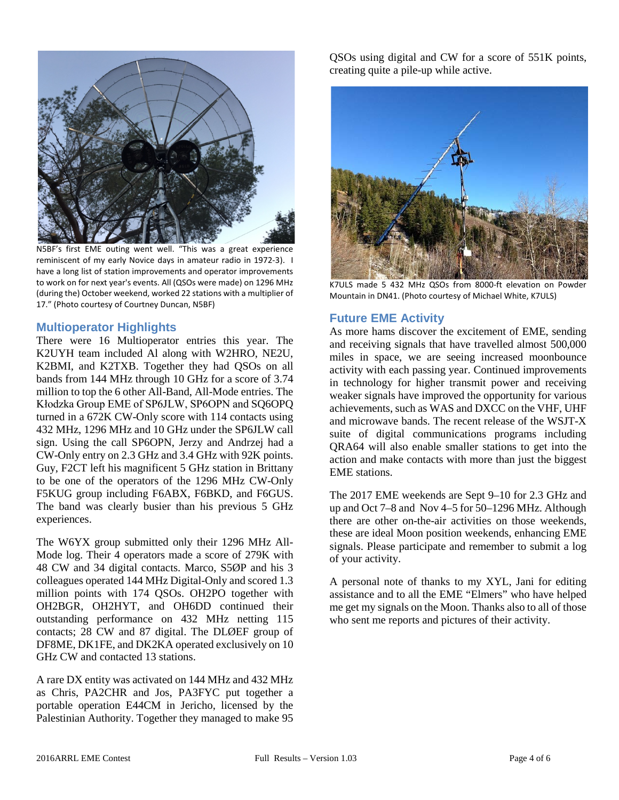

N5BF's first EME outing went well. "This was a great experience reminiscent of my early Novice days in amateur radio in 1972-3). I have a long list of station improvements and operator improvements to work on for next year's events. All (QSOs were made) on 1296 MHz (during the) October weekend, worked 22 stations with a multiplier of 17." (Photo courtesy of Courtney Duncan, N5BF)

## **Multioperator Highlights**

There were 16 Multioperator entries this year. The K2UYH team included Al along with W2HRO, NE2U, K2BMI, and K2TXB. Together they had QSOs on all bands from 144 MHz through 10 GHz for a score of 3.74 million to top the 6 other All-Band, All-Mode entries. The Kłodzka Group EME of SP6JLW, SP6OPN and SQ6OPQ turned in a 672K CW-Only score with 114 contacts using 432 MHz, 1296 MHz and 10 GHz under the SP6JLW call sign. Using the call SP6OPN, Jerzy and Andrzej had a CW-Only entry on 2.3 GHz and 3.4 GHz with 92K points. Guy, F2CT left his magnificent 5 GHz station in Brittany to be one of the operators of the 1296 MHz CW-Only F5KUG group including F6ABX, F6BKD, and F6GUS. The band was clearly busier than his previous 5 GHz experiences.

The W6YX group submitted only their 1296 MHz All-Mode log. Their 4 operators made a score of 279K with 48 CW and 34 digital contacts. Marco, S5ØP and his 3 colleagues operated 144 MHz Digital-Only and scored 1.3 million points with 174 QSOs. OH2PO together with OH2BGR, OH2HYT, and OH6DD continued their outstanding performance on 432 MHz netting 115 contacts; 28 CW and 87 digital. The DLØEF group of DF8ME, DK1FE, and DK2KA operated exclusively on 10 GHz CW and contacted 13 stations.

A rare DX entity was activated on 144 MHz and 432 MHz as Chris, PA2CHR and Jos, PA3FYC put together a portable operation E44CM in Jericho, licensed by the Palestinian Authority. Together they managed to make 95

QSOs using digital and CW for a score of 551K points, creating quite a pile-up while active.



K7ULS made 5 432 MHz QSOs from 8000-ft elevation on Powder Mountain in DN41. (Photo courtesy of Michael White, K7ULS)

## **Future EME Activity**

As more hams discover the excitement of EME, sending and receiving signals that have travelled almost 500,000 miles in space, we are seeing increased moonbounce activity with each passing year. Continued improvements in technology for higher transmit power and receiving weaker signals have improved the opportunity for various achievements, such as WAS and DXCC on the VHF, UHF and microwave bands. The recent release of the WSJT-X suite of digital communications programs including QRA64 will also enable smaller stations to get into the action and make contacts with more than just the biggest EME stations.

The 2017 EME weekends are Sept 9–10 for 2.3 GHz and up and Oct 7–8 and Nov 4–5 for 50–1296 MHz. Although there are other on-the-air activities on those weekends, these are ideal Moon position weekends, enhancing EME signals. Please participate and remember to submit a log of your activity.

A personal note of thanks to my XYL, Jani for editing assistance and to all the EME "Elmers" who have helped me get my signals on the Moon. Thanks also to all of those who sent me reports and pictures of their activity.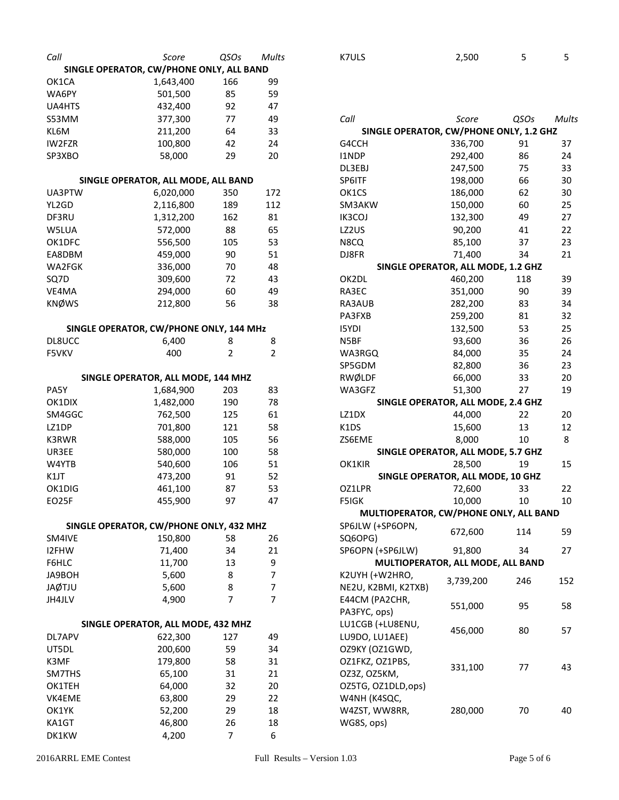| Call                                     | Score                                         | QSOs           | Mults |
|------------------------------------------|-----------------------------------------------|----------------|-------|
| SINGLE OPERATOR, CW/PHONE ONLY, ALL BAND |                                               |                |       |
| OK1CA                                    | 1,643,400                                     | 166            | 99    |
| WA6PY                                    | 501,500                                       | 85             | 59    |
| <b>UA4HTS</b>                            | 432,400                                       | 92             | 47    |
| S53MM                                    | 377,300                                       | 77             | 49    |
| KL6M                                     | 211,200                                       | 64             | 33    |
| IW2FZR                                   | 100,800                                       | 42             | 24    |
| SP3XBO                                   | 58,000                                        | 29             | 20    |
|                                          |                                               |                |       |
|                                          | SINGLE OPERATOR, ALL MODE, ALL BAND           |                |       |
| UA3PTW                                   | 6,020,000                                     | 350            | 172   |
| YL2GD                                    | 2,116,800                                     | 189            | 112   |
| DF3RU                                    | 1,312,200                                     | 162            | 81    |
| W5LUA                                    | 572,000                                       | 88             | 65    |
| OK1DFC                                   | 556,500                                       | 105            | 53    |
| EA8DBM                                   | 459,000                                       | 90             | 51    |
| WA2FGK                                   | 336,000                                       | 70             | 48    |
| SQ7D                                     | 309,600                                       | 72             | 43    |
| VE4MA                                    | 294,000                                       | 60             | 49    |
| <b>KNØWS</b>                             | 212,800                                       | 56             | 38    |
| SINGLE OPERATOR, CW/PHONE ONLY, 144 MHz  |                                               |                |       |
| DL8UCC                                   | 6,400                                         | 8              | 8     |
| F5VKV                                    | 400                                           | 2              | 2     |
|                                          |                                               |                |       |
|                                          | SINGLE OPERATOR, ALL MODE, 144 MHZ            |                |       |
| PA5Y                                     | 1,684,900                                     | 203            | 83    |
| OK1DIX                                   | 1,482,000                                     | 190            | 78    |
| SM4GGC                                   | 762,500                                       | 125            | 61    |
| LZ1DP                                    | 701,800                                       | 121            | 58    |
| K3RWR                                    | 588,000                                       | 105            | 56    |
| UR3EE                                    | 580,000                                       | 100            | 58    |
| W4YTB                                    | 540,600                                       | 106            | 51    |
| K1JT                                     | 473,200                                       | 91             | 52    |
| OK1DIG                                   | 461,100                                       | 87             | 53    |
| EO25F                                    | 455,900                                       | 97             | 47    |
|                                          |                                               |                |       |
| SINGLE OPERATOR, CW/PHONE ONLY, 432 MHZ  |                                               |                |       |
| SM4IVE                                   | 150,800                                       | 58             | 26    |
| I2FHW                                    | 71,400                                        | 34             | 21    |
| F6HLC                                    | 11,700                                        | 13             | 9     |
| JA9BOH                                   | 5,600                                         | 8              | 7     |
| <b>JAØTJU</b>                            | 5,600                                         | 8              | 7     |
| JH4JLV                                   | 4,900                                         | $\overline{7}$ | 7     |
|                                          |                                               |                |       |
| DL7APV                                   | SINGLE OPERATOR, ALL MODE, 432 MHZ<br>622,300 | 127            | 49    |
| UT5DL                                    | 200,600                                       | 59             | 34    |
| K3MF                                     | 179,800                                       | 58             | 31    |
| SM7THS                                   | 65,100                                        | 31             | 21    |
| OK1TEH                                   | 64,000                                        | 32             | 20    |
| VK4EME                                   | 63,800                                        | 29             | 22    |
| OK1YK                                    | 52,200                                        | 29             | 18    |
| KA1GT                                    | 46,800                                        | 26             | 18    |
| DK1KW                                    | 4,200                                         | $\overline{7}$ | 6     |
|                                          |                                               |                |       |

| <b>K7ULS</b>                            | 2,500   | 5    | 5     |
|-----------------------------------------|---------|------|-------|
|                                         |         |      |       |
|                                         |         |      |       |
|                                         |         |      |       |
| Call                                    | Score   | QSOs | Mults |
| SINGLE OPERATOR, CW/PHONE ONLY, 1.2 GHZ |         |      |       |
| G4CCH                                   | 336,700 | 91   | 37    |
| <b>I1NDP</b>                            | 292,400 | 86   | 24    |
| DL3EBJ                                  | 247,500 | 75   | 33    |
| SP6ITF                                  | 198,000 | 66   | 30    |
| OK1CS                                   | 186,000 | 62   | 30    |
| SM3AKW                                  | 150,000 | 60   | 25    |
| IK3COJ                                  | 132,300 | 49   | 27    |
| LZ2US                                   | 90,200  | 41   | 22    |
| N8CQ                                    | 85,100  | 37   | 23    |
| DJ8FR                                   | 71,400  | 34   | 21    |
| SINGLE OPERATOR, ALL MODE, 1.2 GHZ      |         |      |       |
| OK2DL                                   | 460,200 | 118  | 39    |
| RA3EC                                   | 351,000 | 90   | 39    |
| RA3AUB                                  | 282,200 | 83   | 34    |
| <b>DANTIA</b>                           | ממר מדר | C.A  | ົ     |

| RA3AUB                                 | 282,200                            | 83  | 34  |  |
|----------------------------------------|------------------------------------|-----|-----|--|
| PA3FXB                                 | 259,200                            | 81  | 32  |  |
| <b>ISYDI</b>                           | 132,500                            | 53  | 25  |  |
| N5BF                                   | 93,600                             | 36  | 26  |  |
| WA3RGQ                                 | 84,000                             | 35  | 24  |  |
| SP5GDM                                 | 82,800                             | 36  | 23  |  |
| RWØLDF                                 | 66,000                             | 33  | 20  |  |
| WA3GFZ                                 | 51,300                             | 27  | 19  |  |
|                                        | SINGLE OPERATOR, ALL MODE, 2.4 GHZ |     |     |  |
| LZ1DX                                  | 44,000                             | 22  | 20  |  |
| K1DS                                   | 15,600                             | 13  | 12  |  |
| ZS6EME                                 | 8,000                              | 10  | 8   |  |
|                                        | SINGLE OPERATOR, ALL MODE, 5.7 GHZ |     |     |  |
| OK1KIR                                 | 28,500                             | 19  | 15  |  |
| SINGLE OPERATOR, ALL MODE, 10 GHZ      |                                    |     |     |  |
| OZ1LPR                                 | 72,600                             | 33  | 22  |  |
| <b>F5IGK</b>                           | 10,000                             | 10  | 10  |  |
| MULTIOPERATOR, CW/PHONE ONLY, ALL BAND |                                    |     |     |  |
| SP6JLW (+SP6OPN,                       | 672,600                            | 114 | 59  |  |
| SQ6OPG)<br>SP6OPN (+SP6JLW)            | 91,800                             | 34  | 27  |  |
|                                        | MULTIOPERATOR, ALL MODE, ALL BAND  |     |     |  |
| K2UYH (+W2HRO,                         |                                    |     |     |  |
| NE2U, K2BMI, K2TXB)                    | 3,739,200                          | 246 | 152 |  |
| E44CM (PA2CHR,                         | 551,000                            | 95  | 58  |  |
| PA3FYC, ops)                           |                                    |     |     |  |
| LU1CGB (+LU8ENU,                       | 456,000                            | 80  | 57  |  |
| LU9DO, LU1AEE)                         |                                    |     |     |  |
| OZ9KY (OZ1GWD,                         |                                    |     |     |  |
| OZ1FKZ, OZ1PBS,                        | 331,100                            | 77  | 43  |  |
| OZ3Z, OZ5KM,                           |                                    |     |     |  |
| OZ5TG, OZ1DLD,ops)                     |                                    |     |     |  |

W4NH (K4SQC, W4ZST, WW8RR, WG8S, ops)

280,000 70 40